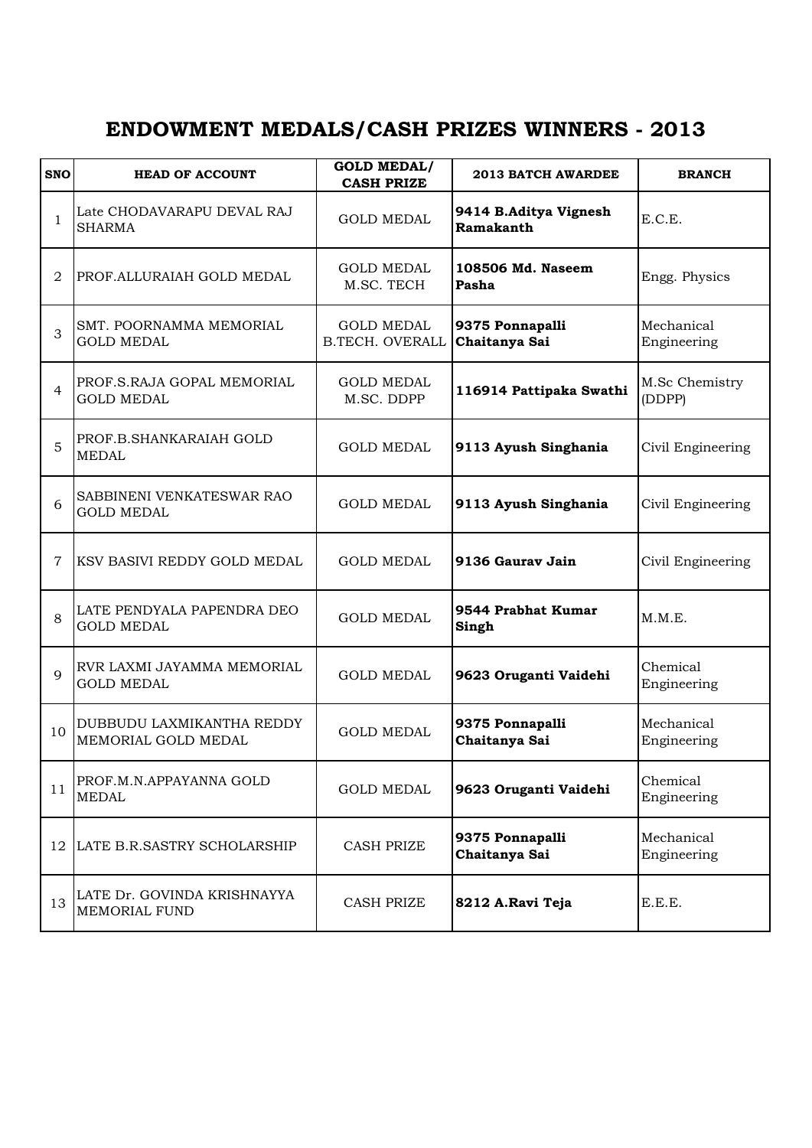## **ENDOWMENT MEDALS/CASH PRIZES WINNERS - 2013**

| <b>SNO</b>  | <b>HEAD OF ACCOUNT</b>                           | <b>GOLD MEDAL/</b><br><b>CASH PRIZE</b>     | 2013 BATCH AWARDEE                 | <b>BRANCH</b>             |
|-------------|--------------------------------------------------|---------------------------------------------|------------------------------------|---------------------------|
| 1           | Late CHODAVARAPU DEVAL RAJ<br><b>SHARMA</b>      | <b>GOLD MEDAL</b>                           | 9414 B.Aditya Vignesh<br>Ramakanth | E.C.E.                    |
| 2           | PROF. ALLURAIAH GOLD MEDAL                       | <b>GOLD MEDAL</b><br>M.SC. TECH             | 108506 Md. Naseem<br>Pasha         | Engg. Physics             |
| 3           | SMT. POORNAMMA MEMORIAL<br><b>GOLD MEDAL</b>     | <b>GOLD MEDAL</b><br><b>B.TECH. OVERALL</b> | 9375 Ponnapalli<br>Chaitanya Sai   | Mechanical<br>Engineering |
| 4           | PROF.S.RAJA GOPAL MEMORIAL<br><b>GOLD MEDAL</b>  | <b>GOLD MEDAL</b><br>M.SC. DDPP             | 116914 Pattipaka Swathi            | M.Sc Chemistry<br>(DDPP)  |
| 5           | PROF.B.SHANKARAIAH GOLD<br><b>MEDAL</b>          | <b>GOLD MEDAL</b>                           | 9113 Ayush Singhania               | Civil Engineering         |
| 6           | SABBINENI VENKATESWAR RAO<br><b>GOLD MEDAL</b>   | <b>GOLD MEDAL</b>                           | 9113 Ayush Singhania               | Civil Engineering         |
| 7           | KSV BASIVI REDDY GOLD MEDAL                      | <b>GOLD MEDAL</b>                           | 9136 Gauray Jain                   | Civil Engineering         |
| 8           | LATE PENDYALA PAPENDRA DEO<br><b>GOLD MEDAL</b>  | <b>GOLD MEDAL</b>                           | 9544 Prabhat Kumar<br>Singh        | M.M.E.                    |
| $\mathbf Q$ | RVR LAXMI JAYAMMA MEMORIAL<br><b>GOLD MEDAL</b>  | <b>GOLD MEDAL</b>                           | 9623 Oruganti Vaidehi              | Chemical<br>Engineering   |
| 10          | DUBBUDU LAXMIKANTHA REDDY<br>MEMORIAL GOLD MEDAL | <b>GOLD MEDAL</b>                           | 9375 Ponnapalli<br>Chaitanya Sai   | Mechanical<br>Engineering |
| 11          | PROF.M.N.APPAYANNA GOLD<br><b>MEDAL</b>          | <b>GOLD MEDAL</b>                           | 9623 Oruganti Vaidehi              | Chemical<br>Engineering   |
| 12          | LATE B.R.SASTRY SCHOLARSHIP                      | <b>CASH PRIZE</b>                           | 9375 Ponnapalli<br>Chaitanya Sai   | Mechanical<br>Engineering |
| 13          | LATE Dr. GOVINDA KRISHNAYYA<br>MEMORIAL FUND     | <b>CASH PRIZE</b>                           | 8212 A.Ravi Teja                   | E.E.E.                    |